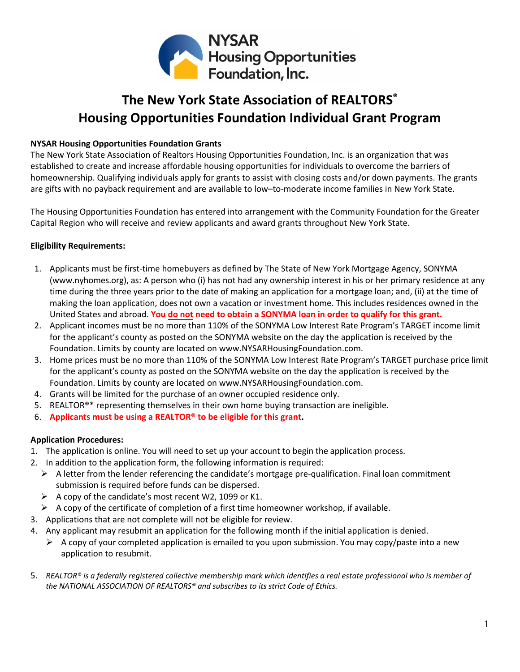

# **The New York State Association of REALTORS® Housing Opportunities Foundation Individual Grant Program**

### **NYSAR Housing Opportunities Foundation Grants**

The New York State Association of Realtors Housing Opportunities Foundation, Inc. is an organization that was established to create and increase affordable housing opportunities for individuals to overcome the barriers of homeownership. Qualifying individuals apply for grants to assist with closing costs and/or down payments. The grants are gifts with no payback requirement and are available to low–to-moderate income families in New York State.

The Housing Opportunities Foundation has entered into arrangement with the Community Foundation for the Greater Capital Region who will receive and review applicants and award grants throughout New York State.

## **Eligibility Requirements:**

- 1. Applicants must be first-time homebuyers as defined by The State of New York Mortgage Agency, SONYMA (www.nyhomes.org), as: A person who (i) has not had any ownership interest in his or her primary residence at any time during the three years prior to the date of making an application for a mortgage loan; and, (ii) at the time of making the loan application, does not own a vacation or investment home. This includes residences owned in the United States and abroad. **You do not need to obtain a SONYMA loan in order to qualify for this grant.**
- 2. Applicant incomes must be no more than 110% of the SONYMA Low Interest Rate Program's TARGET income limit for the applicant's county as posted on the SONYMA website on the day the application is received by the Foundation. Limits by county are located on www.NYSARHousingFoundation.com.
- 3. Home prices must be no more than 110% of the SONYMA Low Interest Rate Program's TARGET purchase price limit for the applicant's county as posted on the SONYMA website on the day the application is received by the Foundation. [L](https://518philanthropy.files.wordpress.com/2017/05/nysar_cfgcr_incomelimits_lirp_cip.pdf)imits by county are located on www.NYSARHousingFoundation.com.
- 4. Grants will be limited for the purchase of an owner occupied residence only.
- 5. REALTOR<sup>®\*</sup> representing themselves in their own home buying transaction are ineligible.
- 6. **Applicants must be using a REALTOR® to be eligible for this grant.**

### **Application Procedures:**

- 1. The application is online. You [will need](https://www.grantrequest.com/SID_5653?SA=SNA&FID=35073) to set up your account to begin the application process.
- 2. In addition to the application form, the following information is required:
	- $\triangleright$  A letter from the lender referencing the candidate's mortgage pre-qualification. Final loan commitment submission is required before funds can be dispersed.
	- $\triangleright$  A copy of the candidate's most recent W2, 1099 or K1.
	- $\triangleright$  A copy of the certificate of completion of a first time homeowner workshop, if available.
- 3. Applications that are not complete will not be eligible for review.
- 4. Any applicant may resubmit an application for the following month if the initial application is denied.
	- $\triangleright$  A copy of your completed application is emailed to you upon submission. You may copy/paste into a new application to resubmit.
- 5. *REALTOR® is a federally registered collective membership mark which identifies a real estate professional who is member of the NATIONAL ASSOCIATION OF REALTORS® and subscribes to its strict Code of Ethics.*